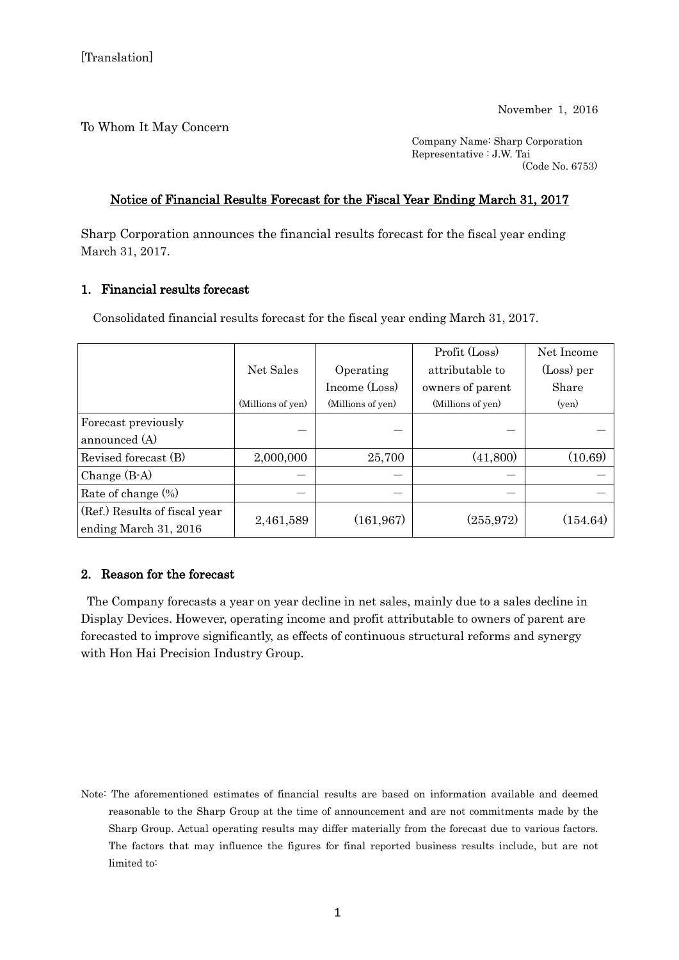To Whom It May Concern

Company Name: Sharp Corporation Representative : J.W. Tai (Code No. 6753)

## Notice of Financial Results Forecast for the Fiscal Year Ending March 31, 2017

Sharp Corporation announces the financial results forecast for the fiscal year ending March 31, 2017.

## 1. Financial results forecast

Consolidated financial results forecast for the fiscal year ending March 31, 2017.

|                               |                   |                   | Profit (Loss)     | Net Income |
|-------------------------------|-------------------|-------------------|-------------------|------------|
|                               | Net Sales         | Operating         | attributable to   | (Loss) per |
|                               |                   | Income (Loss)     | owners of parent  | Share      |
|                               | (Millions of yen) | (Millions of yen) | (Millions of yen) | (yen)      |
| Forecast previously           |                   |                   |                   |            |
| announced (A)                 |                   |                   |                   |            |
| Revised forecast (B)          | 2,000,000         | 25,700            | (41,800)          | (10.69)    |
| Change $(B-A)$                |                   |                   |                   |            |
| Rate of change $(\%)$         |                   |                   |                   |            |
| (Ref.) Results of fiscal year | 2,461,589         | (161, 967)        | (255, 972)        | (154.64)   |
| ending March 31, 2016         |                   |                   |                   |            |

## 2. Reason for the forecast

The Company forecasts a year on year decline in net sales, mainly due to a sales decline in Display Devices. However, operating income and profit attributable to owners of parent are forecasted to improve significantly, as effects of continuous structural reforms and synergy with Hon Hai Precision Industry Group.

Note: The aforementioned estimates of financial results are based on information available and deemed reasonable to the Sharp Group at the time of announcement and are not commitments made by the Sharp Group. Actual operating results may differ materially from the forecast due to various factors. The factors that may influence the figures for final reported business results include, but are not limited to: